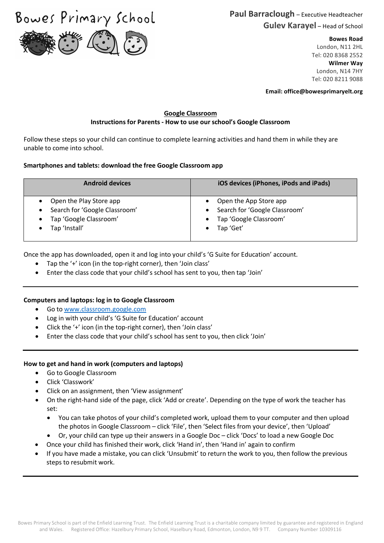Bowes Primary School



#### **Bowes Road**

London, N11 2HL Tel: 020 8368 2552 **Wilmer Way** London, N14 7HY Tel: 020 8211 9088

**Email: office@bowesprimaryelt.org**

### **Google Classroom Instructions for Parents - How to use our school's Google Classroom**

Follow these steps so your child can continue to complete learning activities and hand them in while they are unable to come into school.

## **Smartphones and tablets: download the free Google Classroom app**

| <b>Android devices</b>        | iOS devices (iPhones, iPods and iPads) |
|-------------------------------|----------------------------------------|
| Open the Play Store app       | Open the App Store app                 |
| Search for 'Google Classroom' | Search for 'Google Classroom'          |
| Tap 'Google Classroom'        | Tap 'Google Classroom'                 |
| Tap 'Install'                 | Tap 'Get'                              |

Once the app has downloaded, open it and log into your child's 'G Suite for Education' account.

- Tap the '+' icon (in the top-right corner), then 'Join class'
- Enter the class code that your child's school has sent to you, then tap 'Join'

### **Computers and laptops: log in to Google Classroom**

- Go to www.classroom.google.com
- Log in with your child's 'G Suite for Education' account
- Click the '+' icon (in the top-right corner), then 'Join class'
- Enter the class code that your child's school has sent to you, then click 'Join'

# **How to get and hand in work (computers and laptops)**

- Go to Google Classroom
- Click 'Classwork'
- Click on an assignment, then 'View assignment'
- On the right-hand side of the page, click 'Add or create'. Depending on the type of work the teacher has set:
	- You can take photos of your child's completed work, upload them to your computer and then upload the photos in Google Classroom – click 'File', then 'Select files from your device', then 'Upload'
	- Or, your child can type up their answers in a Google Doc click 'Docs' to load a new Google Doc
- Once your child has finished their work, click 'Hand in', then 'Hand in' again to confirm
- If you have made a mistake, you can click 'Unsubmit' to return the work to you, then follow the previous steps to resubmit work.